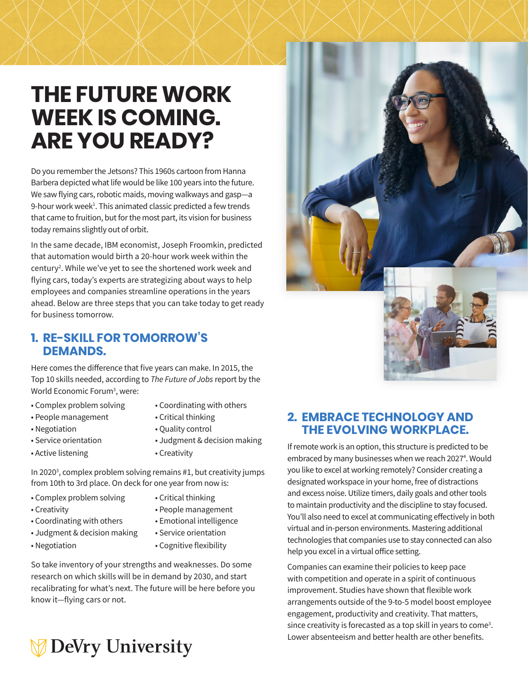# **THE FUTURE WORK WEEK IS COMING. ARE YOU READY?**

Do you remember the Jetsons? This 1960s cartoon from Hanna Barbera depicted what life would be like 100 years into the future. We saw flying cars, robotic maids, moving walkways and gasp—a 9-hour work week<sup>1</sup>. This animated classic predicted a few trends that came to fruition, but for the most part, its vision for business today remains slightly out of orbit.

In the same decade, IBM economist, Joseph Froomkin, predicted that automation would birth a 20-hour work week within the century2 . While we've yet to see the shortened work week and flying cars, today's experts are strategizing about ways to help employees and companies streamline operations in the years ahead. Below are three steps that you can take today to get ready for business tomorrow.

## **1. RE-SKILL FOR TOMORROW'S DEMANDS.**

Here comes the difference that five years can make. In 2015, the Top 10 skills needed, according to *The Future of Jobs* report by the World Economic Forum<sup>3</sup>, were:

- Complex problem solving Coordinating with others
- 
- People management Critical thinking
- 
- 
- Active listening  **Creativity**
- 
- Negotiation Quality control
- Service orientation Judgment & decision making
	-

In 2020<sup>3</sup>, complex problem solving remains #1, but creativity jumps from 10th to 3rd place. On deck for one year from now is:

- Complex problem solving Critical thinking
- 
- 
- Creativity People management
- Coordinating with others Emotional intelligence
- Judgment & decision making Service orientation
- Negotiation Cognitive flexibility

So take inventory of your strengths and weaknesses. Do some research on which skills will be in demand by 2030, and start recalibrating for what's next. The future will be here before you know it—flying cars or not.

# **DeVry University**



# **2. EMBRACE TECHNOLOGY AND THE EVOLVING WORKPLACE.**

If remote work is an option, this structure is predicted to be embraced by many businesses when we reach 2027<sup>4</sup>. Would you like to excel at working remotely? Consider creating a designated workspace in your home, free of distractions and excess noise. Utilize timers, daily goals and other tools to maintain productivity and the discipline to stay focused. You'll also need to excel at communicating effectively in both virtual and in-person environments. Mastering additional technologies that companies use to stay connected can also help you excel in a virtual office setting.

Companies can examine their policies to keep pace with competition and operate in a spirit of continuous improvement. Studies have shown that flexible work arrangements outside of the 9-to-5 model boost employee engagement, productivity and creativity. That matters, since creativity is forecasted as a top skill in years to come<sup>3</sup>. Lower absenteeism and better health are other benefits.